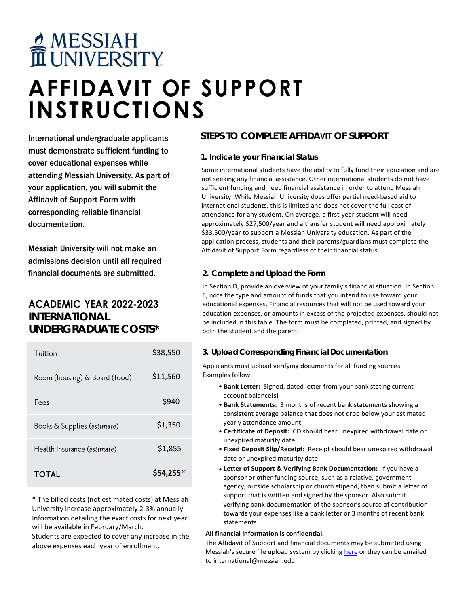# MESSIAH<br>TUNIVERSITY

# **AFFIDAVIT OF SUPPORT INSTRUCTIONS**

International undergraduate applicants must demonstrate sufficient funding to cover educational expenses while attending Messiah University. As part of your application, you will submit the Affidavit of Support Form with corresponding reliable financial documentation.

Messiah University will not make an admissions decision until all required financial documents are submitted.

## **ACADEMIC YEAR 2022-2023 INTERNATIONAL UNDERGRADUATE COSTS\***

| TOTAL                         | \$54,255 |
|-------------------------------|----------|
| Health Insurance (estimate)   | \$1,855  |
| Books & Supplies (estimate)   | \$1,350  |
| Fees                          | \$940    |
| Room (housing) & Board (food) | \$11,560 |
| Tuition                       | \$38,550 |

\* The billed costs (not estimated costs) at Messiah University increase approximately 2-3% annually. Information detailing the exact costs for next year will be available in February/March.

Students are expected to cover any increase in the above expenses each year of enrollment.

### **STEPS TO COMPLETE AFFIDAVIT OF SUPPORT**

#### **1. Indicate your Financial Status**

Some international students have the ability to fully fund their education and are not seeking any financial assistance. Other international students do not have sufficient funding and need financial assistance in order to attend Messiah University. While Messiah University does offer partial need-based aid to international students, this is limited and does not cover the full cost of attendance for any student. On average, a first-year student will need approximately \$27,500/year and a transfer student will need approximately \$33,500/year to support a Messiah University education. As part of the application process, students and their parents/guardians must complete the Affidavit of Support Form regardless of their financial status.

#### **2. Complete and Upload the Form**

In Section D, provide an overview of your family's financial situation. In Section E, note the type and amount of funds that you intend to use toward your educational expenses. Financial resources that will not be used toward your education expenses, or amounts in excess of the projected expenses, should not be included in this table. The form must be completed, printed, and signed by both the student and the parent.

#### **3. Upload Corresponding Financial Documentation**

Applicants must upload verifying documents for all funding sources. Examples follow.

- **Bank Letter:** Signed, dated letter from your bank stating current account balance(s)
- **Bank Statements:** 3 months of recent bank statements showing a consistent average balance that does not drop below your estimated yearly attendance amount
- **Certificate of Deposit:** CD should bear unexpired withdrawal date or unexpired maturity date
- **Fixed Deposit Slip/Receipt:** Receipt should bear unexpired withdrawal date or unexpired maturity date
- **Letter of Support & Verifying Bank Documentation:** If you have a sponsor or other funding source, such as a relative, government agency, outside scholarship or church stipend, then submit a letter of support that is written and signed by the sponsor. Also submit verifying bank documentation of the sponsor's source of contribution towards your expenses like a bank letter or 3 months of recent bank statements.

#### **All financial information is confidential.**

The Affidavit of Support and financial documents may be submitted using Messiah's secure file upload system by clicking [here](https://apex.messiah.edu/apex/f?p=410:2:::::P2_RL:12) or they can be emailed to international@messiah.edu.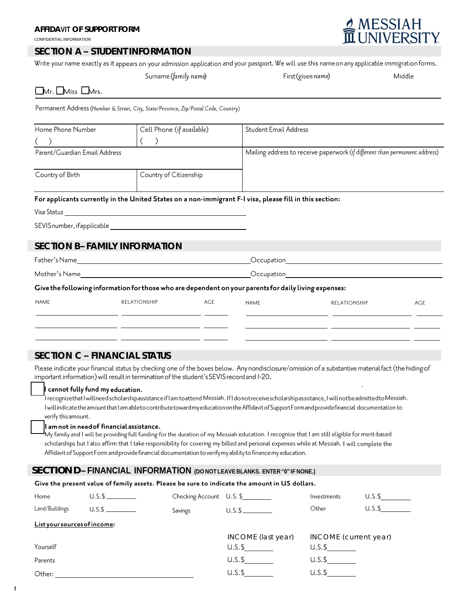CONFIDENTIAL INFORMATION

#### **SECTION A – STUDENT INFORMATION**

Write your name exactly as it appears on your admission application and your passport. We will use this name on any applicable immigration forms.

MESSIAH

|                                                | Surname (family name)                                                               | First (given name)                                                                                      | Middle |  |  |
|------------------------------------------------|-------------------------------------------------------------------------------------|---------------------------------------------------------------------------------------------------------|--------|--|--|
| $\Box$ Mr. $\Box$ Miss $\Box$ Mrs.             |                                                                                     |                                                                                                         |        |  |  |
|                                                | Permanent Address (Number & Street, City, State/Province, Zip/Postal Code, Country) |                                                                                                         |        |  |  |
| Cell Phone (if available)<br>Home Phone Number |                                                                                     | <b>Student Email Address</b>                                                                            |        |  |  |
|                                                |                                                                                     |                                                                                                         |        |  |  |
| Parent/Guardian Email Address                  |                                                                                     | Mailing address to receive paperwork (if different than permanent address)                              |        |  |  |
| Country of Birth                               | Country of Citizenship                                                              |                                                                                                         |        |  |  |
|                                                |                                                                                     | For applicants currently in the United States on a non-immigrant F-I visa, please fill in this section: |        |  |  |
| Visa Status                                    |                                                                                     |                                                                                                         |        |  |  |
|                                                |                                                                                     |                                                                                                         |        |  |  |
| SECTION B-FAMILY INFORMATION                   |                                                                                     |                                                                                                         |        |  |  |

| Father's Name                                                                                         |              |     | Occupation |                     |  |  |  |  |
|-------------------------------------------------------------------------------------------------------|--------------|-----|------------|---------------------|--|--|--|--|
| Mother's Name                                                                                         |              |     | Occupation |                     |  |  |  |  |
| Give the following information for those who are dependent on your parents for daily living expenses: |              |     |            |                     |  |  |  |  |
| NAME                                                                                                  | RELATIONSHIP | AGE | NAME       | <b>RELATIONSHIP</b> |  |  |  |  |

#### **SECTION C – FINANCIAL STATUS**

Please indicate your financial status by checking one of the boxes below. Any nondisclosure/omission of a substantive material fact (the hiding of important information) will result in termination of the student's SEVIS record and I-20.

#### cannot fully fund my education.

I recognize that I will need scholarshipassistance if I am to attend Messiah. If I do notreceive scholarshipassistance, I will notbe admitted to Messiah. I will indicate the amount that I am able to contribute toward my education on the Affidavit of Support Form and provide financial documentation to verify this amount.

#### I am not in need of financial assistance.

My family and I will be providing full funding for the duration of my Messiah education. I recognize that I am still eligible for merit-based scholarships but I also affirm that I take responsibility for covering my billed and personal expenses while at Messiah. I will complete the Affidavit of Support Form and provide financial documentation to verify my ability to finance my education.

#### **SECTION D – FINANCIAL INFORMATION (DO NOT LEAVE BLANKS. ENTER "0" IFNONE.)**

| Give the present value of family assets. Please be sure to indicate the amount in US dollars. |  |         |                         |                       |        |  |  |
|-----------------------------------------------------------------------------------------------|--|---------|-------------------------|-----------------------|--------|--|--|
| Home                                                                                          |  |         | Checking Account U.S.\$ | Investments           | U.S.\$ |  |  |
| Land/Buildings                                                                                |  | Savings | $U.S.\$$                | Other                 | U.S.S  |  |  |
| List your sources of income:                                                                  |  |         |                         |                       |        |  |  |
|                                                                                               |  |         | INCOME (last year)      | INCOME (current year) |        |  |  |
| Yourself                                                                                      |  |         | $U.S.\$ \$              | $U.S.\$ \$            |        |  |  |
| Parents                                                                                       |  |         | $U.S.\$                 | $U.S.\$               |        |  |  |
| Other:                                                                                        |  |         | $U.S.\$                 | $U.S.\$               |        |  |  |

o